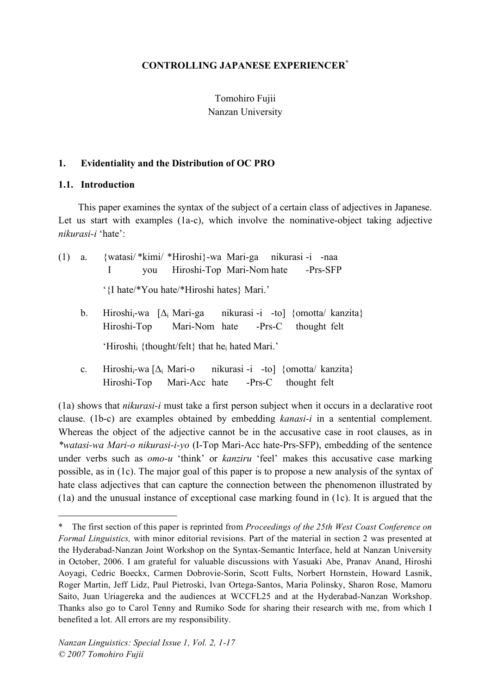## **CONTROLLING JAPANESE EXPERIENCER\***

Tomohiro Fujii Nanzan University

### **1. Evidentiality and the Distribution of OC PRO**

#### **1.1. Introduction**

 $\overline{a}$ 

This paper examines the syntax of the subject of a certain class of adjectives in Japanese. Let us start with examples (1a-c), which involve the nominative-object taking adjective *nikurasi-i* 'hate':

| (1) | a.          | {watasi/*kimi/*Hiroshi}-wa Mari-ga nikurasi-i -naa<br>you Hiroshi-Top Mari-Nom hate -Prs-SFP<br>$\mathbf{I}$                                |
|-----|-------------|---------------------------------------------------------------------------------------------------------------------------------------------|
|     |             | '{I hate/*You hate/*Hiroshi hates} Mari.'                                                                                                   |
|     | $b_{-}$     | Hiroshi <sub>i</sub> -wa $[\Delta_i$ Mari-ga nikurasi -i -to] {omotta/ kanzita}<br>Hiroshi-Top Mari-Nom hate -Prs-C thought felt            |
|     |             | 'Hiroshi <sub>i</sub> {thought/felt} that he <sub>i</sub> hated Mari.'                                                                      |
|     | $c_{\cdot}$ | Hiroshi <sub>i</sub> -wa [ $\Delta$ <sub>i</sub> Mari-o nikurasi -i -to] {omotta/ kanzita}<br>Hiroshi-Top Mari-Acc hate -Prs-C thought felt |

(1a) shows that *nikurasi-i* must take a first person subject when it occurs in a declarative root clause. (1b-c) are examples obtained by embedding *kanasi-i* in a sentential complement. Whereas the object of the adjective cannot be in the accusative case in root clauses, as in *\*watasi-wa Mari-o nikurasi-i-yo* (I-Top Mari-Acc hate-Prs-SFP), embedding of the sentence under verbs such as *omo-u* 'think' or *kanziru* 'feel' makes this accusative case marking possible, as in (1c). The major goal of this paper is to propose a new analysis of the syntax of hate class adjectives that can capture the connection between the phenomenon illustrated by (1a) and the unusual instance of exceptional case marking found in (1c). It is argued that the

<sup>\*</sup> The first section of this paper is reprinted from *Proceedings of the 25th West Coast Conference on Formal Linguistics,* with minor editorial revisions. Part of the material in section 2 was presented at the Hyderabad-Nanzan Joint Workshop on the Syntax-Semantic Interface, held at Nanzan University in October, 2006. I am grateful for valuable discussions with Yasuaki Abe, Pranav Anand, Hiroshi Aoyagi, Cedric Boeckx, Carmen Dobrovie-Sorin, Scott Fults, Norbert Hornstein, Howard Lasnik, Roger Martin, Jeff Lidz, Paul Pietroski, Ivan Ortega-Santos, Maria Polinsky, Sharon Rose, Mamoru Saito, Juan Uriagereka and the audiences at WCCFL25 and at the Hyderabad-Nanzan Workshop. Thanks also go to Carol Tenny and Rumiko Sode for sharing their research with me, from which I benefited a lot. All errors are my responsibility.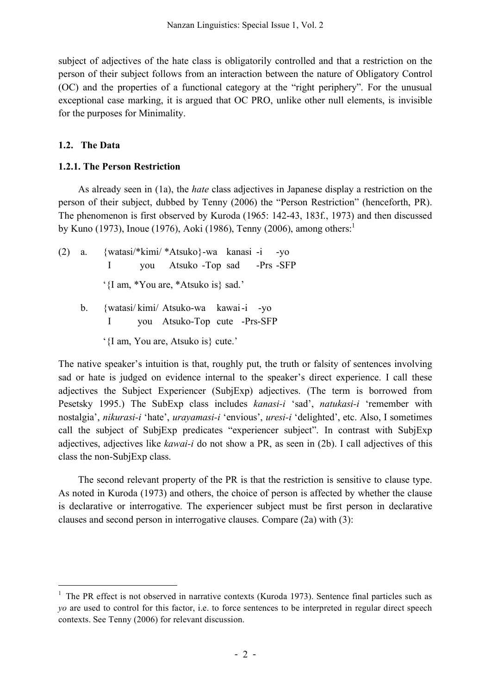subject of adjectives of the hate class is obligatorily controlled and that a restriction on the person of their subject follows from an interaction between the nature of Obligatory Control (OC) and the properties of a functional category at the "right periphery". For the unusual exceptional case marking, it is argued that OC PRO, unlike other null elements, is invisible for the purposes for Minimality.

# **1.2. The Data**

## **1.2.1. The Person Restriction**

As already seen in (1a), the *hate* class adjectives in Japanese display a restriction on the person of their subject, dubbed by Tenny (2006) the "Person Restriction" (henceforth, PR). The phenomenon is first observed by Kuroda (1965: 142-43, 183f., 1973) and then discussed by Kuno (1973), Inoue (1976), Aoki (1986), Tenny (2006), among others: 1

- (2) a. {watasi/\*kimi/ \*Atsuko}-wa kanasi -i -yo I you Atsuko -Top sad -Prs -SFP '{I am, \*You are, \*Atsuko is} sad.'
	- b. {watasi/ kimi/ Atsuko-wa kawai-i -yo I you Atsuko-Top cute -Prs-SFP
		- '{I am, You are, Atsuko is} cute.'

The native speaker's intuition is that, roughly put, the truth or falsity of sentences involving sad or hate is judged on evidence internal to the speaker's direct experience. I call these adjectives the Subject Experiencer (SubjExp) adjectives. (The term is borrowed from Pesetsky 1995.) The SubExp class includes *kanasi-i* 'sad', *natukasi-i* 'remember with nostalgia', *nikurasi-i* 'hate', *urayamasi-i* 'envious', *uresi-i* 'delighted', etc. Also, I sometimes call the subject of SubjExp predicates "experiencer subject". In contrast with SubjExp adjectives, adjectives like *kawai-i* do not show a PR, as seen in (2b). I call adjectives of this class the non-SubjExp class.

The second relevant property of the PR is that the restriction is sensitive to clause type. As noted in Kuroda (1973) and others, the choice of person is affected by whether the clause is declarative or interrogative. The experiencer subject must be first person in declarative clauses and second person in interrogative clauses. Compare (2a) with (3):

 $1$  The PR effect is not observed in narrative contexts (Kuroda 1973). Sentence final particles such as *yo* are used to control for this factor, i.e. to force sentences to be interpreted in regular direct speech contexts. See Tenny (2006) for relevant discussion.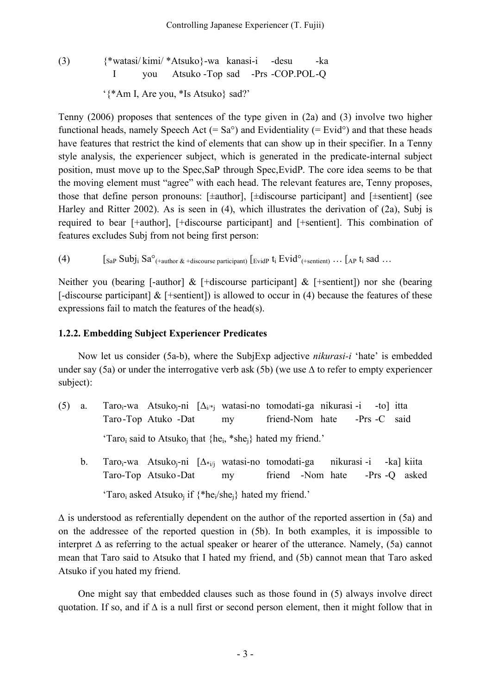(3) {\*watasi/ kimi/ \*Atsuko}-wa kanasi-i -desu -ka I you Atsuko -Top sad -Prs -COP.POL-Q '{\*Am I, Are you, \*Is Atsuko} sad?'

Tenny (2006) proposes that sentences of the type given in (2a) and (3) involve two higher functional heads, namely Speech Act (=  $Sa^{\circ}$ ) and Evidentiality (= Evid<sup>o</sup>) and that these heads have features that restrict the kind of elements that can show up in their specifier. In a Tenny style analysis, the experiencer subject, which is generated in the predicate-internal subject position, must move up to the Spec,SaP through Spec,EvidP. The core idea seems to be that the moving element must "agree" with each head. The relevant features are, Tenny proposes, those that define person pronouns:  $[\pm \text{author}]$ ,  $[\pm \text{discourse participant}]$  and  $[\pm \text{sentient}]$  (see Harley and Ritter 2002). As is seen in (4), which illustrates the derivation of (2a), Subj is required to bear [+author], [+discourse participant] and [+sentient]. This combination of features excludes Subj from not being first person:

(4)  $\left[\int_{Sa} S^{0}(\theta) \right]$  [Sa<sup>o</sup>(+author & +discourse participant)  $\left[\int_{Sa} F(t) \right]$  [Evid<sup>o</sup>(+sentient)  $\ldots$  [AP  $t_i$  sad  $\ldots$ 

Neither you (bearing [-author]  $&$  [+discourse participant]  $&$  [+sentient]) nor she (bearing [-discourse participant]  $&$  [+sentient]) is allowed to occur in (4) because the features of these expressions fail to match the features of the head(s).

#### **1.2.2. Embedding Subject Experiencer Predicates**

Now let us consider (5a-b), where the SubjExp adjective *nikurasi-i* 'hate' is embedded under say (5a) or under the interrogative verb ask (5b) (we use ∆ to refer to empty experiencer subject):

- (5) a. Taroi-wa Atsukoj-ni [∆i/\*j watasi-no tomodati-ga nikurasi -i -to] itta Taro-Top Atuko -Dat my friend-Nom hate -Prs -C said 'Taroi said to Atsukoj that {hei, \*shej} hated my friend.'
	- b. Taro<sub>i</sub>-wa Atsuko<sub>i</sub>-ni [∆<sub>\*i/i</sub> watasi-no tomodati-ga nikurasi-i -ka] kiita Taro-Top Atsuko-Dat my friend -Nom hate -Prs -Q asked 'Taro<sub>i</sub> asked Atsuko<sub>i</sub> if  $\{^*he_i/she_i\}$  hated my friend.'

∆ is understood as referentially dependent on the author of the reported assertion in (5a) and on the addressee of the reported question in (5b). In both examples, it is impossible to interpret ∆ as referring to the actual speaker or hearer of the utterance. Namely, (5a) cannot mean that Taro said to Atsuko that I hated my friend, and (5b) cannot mean that Taro asked Atsuko if you hated my friend.

One might say that embedded clauses such as those found in (5) always involve direct quotation. If so, and if  $\Delta$  is a null first or second person element, then it might follow that in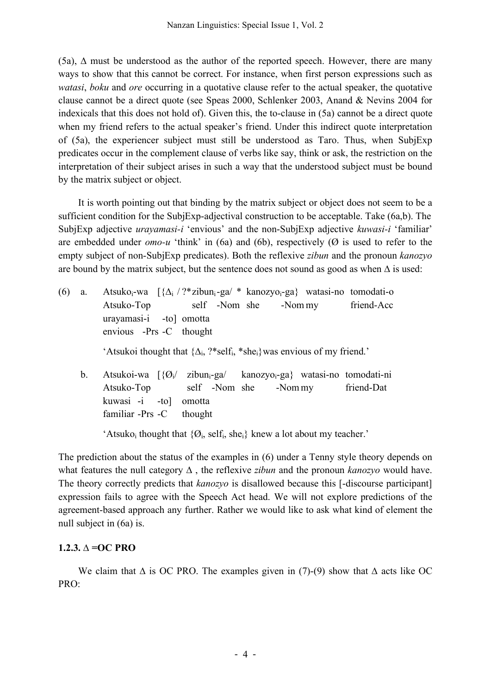(5a), ∆ must be understood as the author of the reported speech. However, there are many ways to show that this cannot be correct. For instance, when first person expressions such as *watasi*, *boku* and *ore* occurring in a quotative clause refer to the actual speaker, the quotative clause cannot be a direct quote (see Speas 2000, Schlenker 2003, Anand & Nevins 2004 for indexicals that this does not hold of). Given this, the to-clause in (5a) cannot be a direct quote when my friend refers to the actual speaker's friend. Under this indirect quote interpretation of (5a), the experiencer subject must still be understood as Taro. Thus, when SubjExp predicates occur in the complement clause of verbs like say, think or ask, the restriction on the interpretation of their subject arises in such a way that the understood subject must be bound by the matrix subject or object.

It is worth pointing out that binding by the matrix subject or object does not seem to be a sufficient condition for the SubjExp-adjectival construction to be acceptable. Take (6a,b). The SubjExp adjective *urayamasi-i* 'envious' and the non-SubjExp adjective *kuwasi-i* 'familiar' are embedded under  $omo-u$  'think' in (6a) and (6b), respectively ( $\emptyset$  is used to refer to the empty subject of non-SubjExp predicates). Both the reflexive *zibun* and the pronoun *kanozyo* are bound by the matrix subject, but the sentence does not sound as good as when ∆ is used:

(6) a. Atsuko<sub>i</sub>-wa  $\left[\frac{\Delta_i}{?}$ \*zibun<sub>i</sub>-ga/ \* kanozyo<sub>i</sub>-ga} watasi-no tomodati-o Atsuko-Top self -Nom she -Nom my friend-Acc urayamasi-i -to] omotta envious -Prs -C thought 'Atsukoi thought that  $\{\Delta_i, ?^* \text{self}_i, *_s \text{he}_i\}$  was envious of my friend.' b. Atsukoi-wa  $\left[\frac{\partial}{\partial t}\right]$  zibun<sub>i-</sub>ga/ kanozyo<sub>i</sub>-ga} watasi-no tomodati-ni Atsuko-Top self -Nom she -Nom my friend-Dat kuwasi -i -to] omotta familiar -Prs -C thought

'Atsuko<sub>i</sub> thought that  $\{O_i, \text{self}_i, \text{she}_i\}$  knew a lot about my teacher.'

The prediction about the status of the examples in (6) under a Tenny style theory depends on what features the null category ∆ , the reflexive *zibun* and the pronoun *kanozyo* would have. The theory correctly predicts that *kanozyo* is disallowed because this [-discourse participant] expression fails to agree with the Speech Act head. We will not explore predictions of the agreement-based approach any further. Rather we would like to ask what kind of element the null subject in (6a) is.

## **1.2.3. ∆ =OC PRO**

We claim that  $\Delta$  is OC PRO. The examples given in (7)-(9) show that  $\Delta$  acts like OC PRO: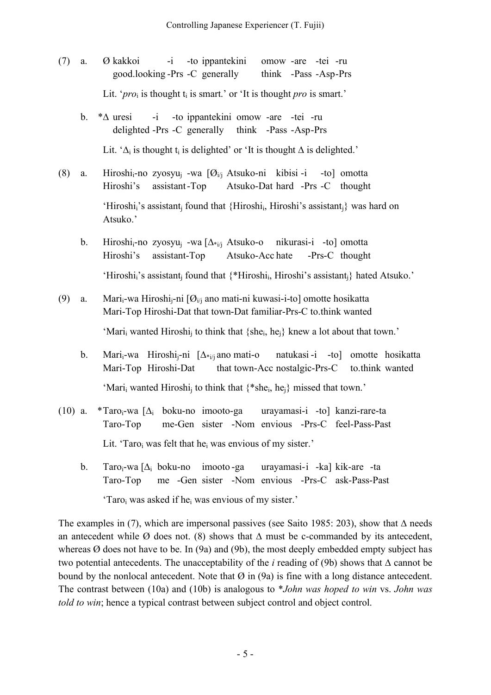- (7) a. Ø kakkoi -i -to ippantekini omow -are -tei -ru good.looking -Prs -C generally think -Pass -Asp-Prs Lit. ' $proj$  is thought  $t_i$  is smart.' or 'It is thought *pro* is smart.'
	- b. \*∆ uresi -i -to ippantekini omow -are -tei -ru delighted -Prs -C generally think -Pass -Asp-Prs Lit. ' $\Delta_i$  is thought t<sub>i</sub> is delighted' or 'It is thought  $\Delta$  is delighted.'
- (8) a. Hiroshi<sub>i</sub>-no zyosyu<sub>i</sub> -wa  $[\mathcal{O}_{i,j}]$  Atsuko-ni kibisi-i -to] omotta Hiroshi's assistant-Top Atsuko-Dat hard -Prs -C thought 'Hiroshi;'s assistant; found that {Hiroshi; Hiroshi's assistant;} was hard on Atsuko.'
	- b. Hiroshi<sub>i</sub>-no zyosyu<sub>i</sub> -wa [ $\Delta_{\hat{i}}$  Atsuko-o nikurasi-i -to] omotta Hiroshi's assistant-Top Atsuko-Acc hate -Prs-C thought 'Hiroshi<sub>i</sub>'s assistant<sub>i</sub> found that {\*Hiroshi<sub>i</sub>, Hiroshi's assistant<sub>i</sub>} hated Atsuko.'
- (9) a. Mari<sub>i</sub>-wa Hiroshi<sub>j</sub>-ni [ $\mathcal{O}_{i,j}$  ano mati-ni kuwasi-i-to] omotte hosikatta Mari-Top Hiroshi-Dat that town-Dat familiar-Prs-C to.think wanted 'Mari<sub>i</sub> wanted Hiroshi<sub>i</sub> to think that  ${she_i, he_i}$  knew a lot about that town.'
	- b. Marii-wa Hiroshij-ni [∆\*i/j ano mati-o natukasi -i -to] omotte hosikatta Mari-Top Hiroshi-Dat that town-Acc nostalgic-Prs-C to.think wanted 'Mari<sub>i</sub> wanted Hiroshi<sub>i</sub> to think that  $\{$ <sup>\*</sup>she<sub>i</sub>, he<sub>i</sub>} missed that town.'
- (10) a. \*Taro<sub>i</sub>-wa  $[\Delta_i]$  boku-no imooto-ga urayamasi-i -to] kanzi-rare-ta Taro-Top me-Gen sister -Nom envious -Prs-C feel-Pass-Past Lit. 'Taro<sub>i</sub> was felt that he<sub>i</sub> was envious of my sister.'
	- b. Taroi-wa [∆<sup>i</sup> boku-no imooto -ga urayamasi-i -ka] kik-are -ta Taro-Top me -Gen sister -Nom envious -Prs-C ask-Pass-Past 'Taroi was asked if hei was envious of my sister.'

The examples in (7), which are impersonal passives (see Saito 1985: 203), show that  $\Delta$  needs an antecedent while Ø does not. (8) shows that  $\Delta$  must be c-commanded by its antecedent, whereas  $\Omega$  does not have to be. In (9a) and (9b), the most deeply embedded empty subject has two potential antecedents. The unacceptability of the *i* reading of (9b) shows that ∆ cannot be bound by the nonlocal antecedent. Note that  $\varnothing$  in (9a) is fine with a long distance antecedent. The contrast between (10a) and (10b) is analogous to \**John was hoped to win* vs. *John was told to win*; hence a typical contrast between subject control and object control.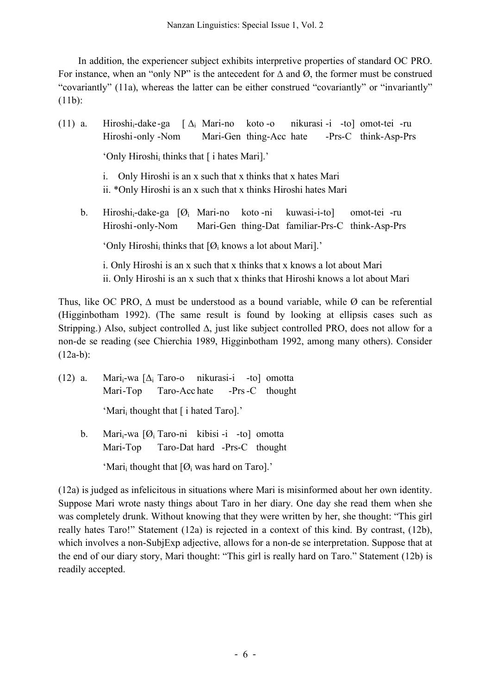In addition, the experiencer subject exhibits interpretive properties of standard OC PRO. For instance, when an "only NP" is the antecedent for  $\Delta$  and  $\Omega$ , the former must be construed "covariantly" (11a), whereas the latter can be either construed "covariantly" or "invariantly" (11b):

(11) a. Hiroshi<sub>i</sub>-dake-ga  $[\Delta_i]$  Mari-no koto -o nikurasi -i -to] omot-tei -ru Hiroshi-only -Nom Mari-Gen thing-Acc hate -Prs-C think-Asp-Prs 'Only Hiroshi<sub>i</sub> thinks that [ i hates Mari].' i. Only Hiroshi is an x such that x thinks that x hates Mari ii. \*Only Hiroshi is an x such that x thinks Hiroshi hates Mari b. Hiroshi<sub>i</sub>-dake-ga [Ø<sub>i</sub> Mari-no koto -ni kuwasi-i-to] omot-tei -ru Hiroshi-only-Nom Mari-Gen thing-Dat familiar-Prs-C think-Asp-Prs 'Only Hiroshi<sub>i</sub> thinks that  $[Ø<sub>i</sub>$  knows a lot about Mari].' i. Only Hiroshi is an x such that x thinks that x knows a lot about Mari ii. Only Hiroshi is an x such that x thinks that Hiroshi knows a lot about Mari

Thus, like OC PRO,  $\Delta$  must be understood as a bound variable, while Ø can be referential (Higginbotham 1992). (The same result is found by looking at ellipsis cases such as Stripping.) Also, subject controlled ∆, just like subject controlled PRO, does not allow for a non-de se reading (see Chierchia 1989, Higginbotham 1992, among many others). Consider  $(12a-b)$ :

- (12) a. Mari<sub>i</sub>-wa  $[\Delta_i]$  Taro-o nikurasi-i -to] omotta Mari-Top Taro-Acc hate -Prs-C thought 'Mari<sub>i</sub> thought that [ i hated Taro].'
	- b. Mari $_i$ -wa  $[Ø_i$  Taro-ni kibisi -i -to] omotta Mari-Top Taro-Dat hard -Prs-C thought

'Mari<sub>i</sub> thought that  $[Ø_i$  was hard on Taro].'

(12a) is judged as infelicitous in situations where Mari is misinformed about her own identity. Suppose Mari wrote nasty things about Taro in her diary. One day she read them when she was completely drunk. Without knowing that they were written by her, she thought: "This girl really hates Taro!" Statement (12a) is rejected in a context of this kind. By contrast, (12b), which involves a non-SubjExp adjective, allows for a non-de se interpretation. Suppose that at the end of our diary story, Mari thought: "This girl is really hard on Taro." Statement (12b) is readily accepted.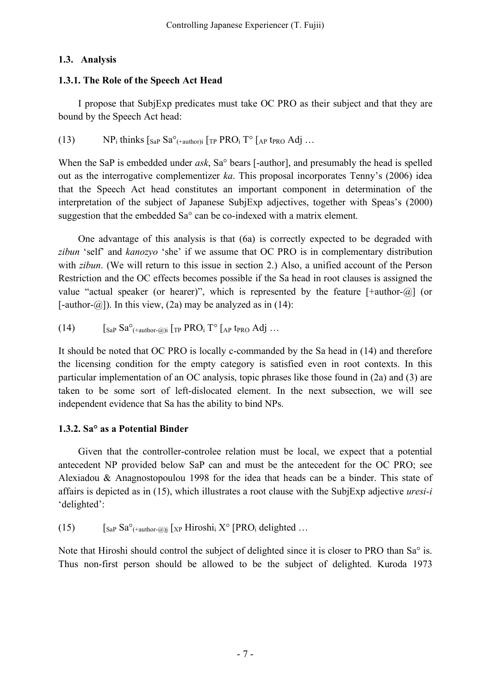# **1.3. Analysis**

# **1.3.1. The Role of the Speech Act Head**

I propose that SubjExp predicates must take OC PRO as their subject and that they are bound by the Speech Act head:

(13)  $NP_i$  thinks  $\int_{Sa}P Sa^{\circ}$ <sub>(+author)</sub>  $\int_{TP} PRO_i T^{\circ} \int_{AP} t_{PRO} Adi$  ...

When the SaP is embedded under *ask*, Sa° bears [-author], and presumably the head is spelled out as the interrogative complementizer *ka*. This proposal incorporates Tenny's (2006) idea that the Speech Act head constitutes an important component in determination of the interpretation of the subject of Japanese SubjExp adjectives, together with Speas's (2000) suggestion that the embedded Sa° can be co-indexed with a matrix element.

One advantage of this analysis is that (6a) is correctly expected to be degraded with *zibun* 'self' and *kanozyo* 'she' if we assume that OC PRO is in complementary distribution with *zibun*. (We will return to this issue in section 2.) Also, a unified account of the Person Restriction and the OC effects becomes possible if the Sa head in root clauses is assigned the value "actual speaker (or hearer)", which is represented by the feature  $[+author-\omega]$  (or [-author- $(\partial$ ]). In this view, (2a) may be analyzed as in (14):

(14) 
$$
[SaP Sao(+author=@)i [TP PROi To [AP tPRO Adj ...]
$$

It should be noted that OC PRO is locally c-commanded by the Sa head in (14) and therefore the licensing condition for the empty category is satisfied even in root contexts. In this particular implementation of an OC analysis, topic phrases like those found in (2a) and (3) are taken to be some sort of left-dislocated element. In the next subsection, we will see independent evidence that Sa has the ability to bind NPs.

# **1.3.2. Sa° as a Potential Binder**

Given that the controller-controlee relation must be local, we expect that a potential antecedent NP provided below SaP can and must be the antecedent for the OC PRO; see Alexiadou & Anagnostopoulou 1998 for the idea that heads can be a binder. This state of affairs is depicted as in (15), which illustrates a root clause with the SubjExp adjective *uresi-i* 'delighted':

(15)  $\int_{\text{SaP}} \text{Sa}^{\circ}$ <sub>(+author-@)j</sub>  $\int_{\text{XP}}$  Hiroshi<sub>i</sub> X° [PRO<sub>i</sub> delighted ...

Note that Hiroshi should control the subject of delighted since it is closer to PRO than Sa° is. Thus non-first person should be allowed to be the subject of delighted. Kuroda 1973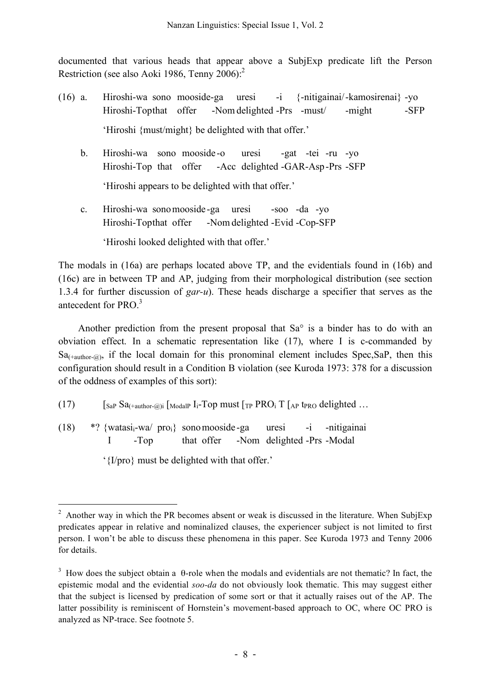documented that various heads that appear above a SubjExp predicate lift the Person Restriction (see also Aoki 1986, Tenny 2006):<sup>2</sup>

- (16) a. Hiroshi-wa sono mooside-ga uresi -i {-nitigainai/-kamosirenai} -yo Hiroshi-Topthat offer -Nom delighted -Prs -must/ -might -SFP 'Hiroshi {must/might} be delighted with that offer.'
	- b. Hiroshi-wa sono mooside -o uresi -gat -tei -ru -yo Hiroshi-Top that offer -Acc delighted -GAR-Asp-Prs -SFP 'Hiroshi appears to be delighted with that offer.'
	- c. Hiroshi-wa sonomooside -ga uresi -soo -da -yo Hiroshi-Topthat offer -Nom delighted -Evid -Cop-SFP

'Hiroshi looked delighted with that offer.'

The modals in (16a) are perhaps located above TP, and the evidentials found in (16b) and (16c) are in between TP and AP, judging from their morphological distribution (see section 1.3.4 for further discussion of *gar-u*). These heads discharge a specifier that serves as the antecedent for PRO. 3

Another prediction from the present proposal that  $Sa^{\circ}$  is a binder has to do with an obviation effect. In a schematic representation like (17), where I is c-commanded by  $Sa$ <sub>(+author-@)</sub>, if the local domain for this pronominal element includes Spec, SaP, then this configuration should result in a Condition B violation (see Kuroda 1973: 378 for a discussion of the oddness of examples of this sort):

- (17)  $\int_{SaP} Sa_{(+author-\omega)i}$  [ModalP I<sub>i</sub>-Top must [<sub>TP</sub> PRO<sub>i</sub> T [<sub>AP</sub> t<sub>PRO</sub> delighted ...
- (18) \*? {watasi<sub>i</sub>-wa/ pro<sub>i</sub>} sono mooside -ga uresi -i -nitigainai I -Top that offer -Nom delighted -Prs -Modal

'{I/pro} must be delighted with that offer.'

<sup>&</sup>lt;sup>2</sup> Another way in which the PR becomes absent or weak is discussed in the literature. When SubjExp predicates appear in relative and nominalized clauses, the experiencer subject is not limited to first person. I won't be able to discuss these phenomena in this paper. See Kuroda 1973 and Tenny 2006 for details.

<sup>&</sup>lt;sup>3</sup> How does the subject obtain a  $\theta$ -role when the modals and evidentials are not thematic? In fact, the epistemic modal and the evidential *soo-da* do not obviously look thematic. This may suggest either that the subject is licensed by predication of some sort or that it actually raises out of the AP. The latter possibility is reminiscent of Hornstein's movement-based approach to OC, where OC PRO is analyzed as NP-trace. See footnote 5.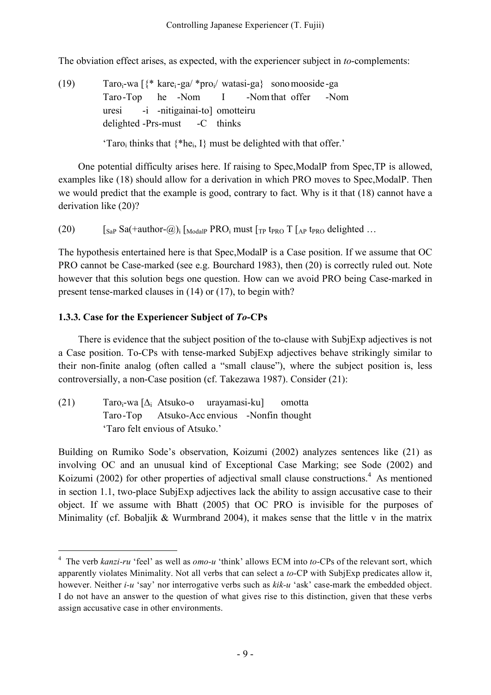The obviation effect arises, as expected, with the experiencer subject in *to*-complements:

(19)  $\arccos 18^\ast \text{ kare}_i - \text{g}a/\text{ kpro}_i/\text{ w}\text{atasi-ga}$  sonomooside -ga Taro-Top he -Nom I -Nom that offer -Nom uresi -i -nitigainai-to] omotteiru delighted -Prs-must -C thinks 'Taro<sub>i</sub> thinks that  $\{^*he_i, I\}$  must be delighted with that offer.'

One potential difficulty arises here. If raising to Spec,ModalP from Spec,TP is allowed, examples like (18) should allow for a derivation in which PRO moves to Spec,ModalP. Then we would predict that the example is good, contrary to fact. Why is it that (18) cannot have a derivation like (20)?

(20)  $\left[\begin{array}{cc} \text{SaP} \text{Sa}(\text{+author-}\text{@})_i \left[\begin{array}{c} \text{ModalP} \text{PRO}\end{array}\right] \text{must} \left[\begin{array}{c} \text{TP} \text{tr}_{\text{PRO}} \text{T} \left[\begin{array}{c} \text{AP} \text{tr}_{\text{PRO}} \text{delighted} \end{array}\right] \right] \end{array}\right]$ 

The hypothesis entertained here is that Spec,ModalP is a Case position. If we assume that OC PRO cannot be Case-marked (see e.g. Bourchard 1983), then (20) is correctly ruled out. Note however that this solution begs one question. How can we avoid PRO being Case-marked in present tense-marked clauses in (14) or (17), to begin with?

## **1.3.3. Case for the Experiencer Subject of** *To***-CPs**

There is evidence that the subject position of the to-clause with SubjExp adjectives is not a Case position. To-CPs with tense-marked SubjExp adjectives behave strikingly similar to their non-finite analog (often called a "small clause"), where the subject position is, less controversially, a non-Case position (cf. Takezawa 1987). Consider (21):

(21) Taroi-wa [∆<sup>i</sup> Atsuko-o urayamasi-ku] omotta Taro-Top Atsuko-Acc envious -Nonfin thought 'Taro felt envious of Atsuko.'

Building on Rumiko Sode's observation, Koizumi (2002) analyzes sentences like (21) as involving OC and an unusual kind of Exceptional Case Marking; see Sode (2002) and Koizumi (2002) for other properties of adjectival small clause constructions.<sup>4</sup> As mentioned in section 1.1, two-place SubjExp adjectives lack the ability to assign accusative case to their object. If we assume with Bhatt (2005) that OC PRO is invisible for the purposes of Minimality (cf. Bobaljik & Wurmbrand 2004), it makes sense that the little v in the matrix

 <sup>4</sup> The verb *kanzi-ru* 'feel' as well as *omo-u* 'think' allows ECM into *to*-CPs of the relevant sort, which apparently violates Minimality. Not all verbs that can select a *to*-CP with SubjExp predicates allow it, however. Neither *i-u* 'say' nor interrogative verbs such as *kik-u* 'ask' case-mark the embedded object. I do not have an answer to the question of what gives rise to this distinction, given that these verbs assign accusative case in other environments.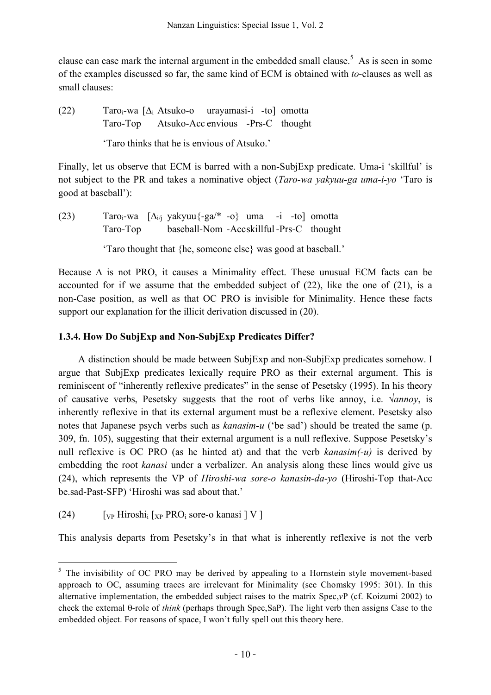clause can case mark the internal argument in the embedded small clause.<sup>5</sup> As is seen in some of the examples discussed so far, the same kind of ECM is obtained with *to*-clauses as well as small clauses:

(22) Taro<sub>i</sub>-wa  $[\Delta_i$  Atsuko-o urayamasi-i -to] omotta Taro-Top Atsuko-Acc envious -Prs-C thought

'Taro thinks that he is envious of Atsuko.'

Finally, let us observe that ECM is barred with a non-SubjExp predicate. Uma-i 'skillful' is not subject to the PR and takes a nominative object (*Taro-wa yakyuu-ga uma-i-yo* 'Taro is good at baseball'):

(23) Taro<sub>i</sub>-wa  $[\Delta_{i}$  yakyuu $\{-ga^{*}-o\}$  uma -i -to] omotta Taro-Top baseball-Nom -Accskillful-Prs-C thought

'Taro thought that {he, someone else} was good at baseball.'

Because ∆ is not PRO, it causes a Minimality effect. These unusual ECM facts can be accounted for if we assume that the embedded subject of (22), like the one of (21), is a non-Case position, as well as that OC PRO is invisible for Minimality. Hence these facts support our explanation for the illicit derivation discussed in (20).

# **1.3.4. How Do SubjExp and Non-SubjExp Predicates Differ?**

A distinction should be made between SubjExp and non-SubjExp predicates somehow. I argue that SubjExp predicates lexically require PRO as their external argument. This is reminiscent of "inherently reflexive predicates" in the sense of Pesetsky (1995). In his theory of causative verbs, Pesetsky suggests that the root of verbs like annoy, i.e. √*annoy*, is inherently reflexive in that its external argument must be a reflexive element. Pesetsky also notes that Japanese psych verbs such as *kanasim-u* ('be sad') should be treated the same (p. 309, fn. 105), suggesting that their external argument is a null reflexive. Suppose Pesetsky's null reflexive is OC PRO (as he hinted at) and that the verb *kanasim(-u)* is derived by embedding the root *kanasi* under a verbalizer. An analysis along these lines would give us (24), which represents the VP of *Hiroshi-wa sore-o kanasin-da-yo* (Hiroshi-Top that-Acc be.sad-Past-SFP) 'Hiroshi was sad about that.'

(24)  $\left[\begin{array}{cc} \n\sqrt{24} & \sqrt{24} \\
\sqrt{24} & \sqrt{24} \\
\sqrt{24} & \sqrt{24} \\
\sqrt{24} & \sqrt{24} \\
\sqrt{24} & \sqrt{24} \\
\sqrt{24} & \sqrt{24} \\
\sqrt{24} & \sqrt{24} \\
\sqrt{24} & \sqrt{24} \\
\sqrt{24} & \sqrt{24} \\
\sqrt{24} & \sqrt{24} \\
\sqrt{24} & \sqrt{24} \\
\sqrt{25} & \sqrt{24} \\
\sqrt{26} & \sqrt{24} \\
\sqrt{28} & \sqrt{24} \\
\sqrt{28} & \$ 

This analysis departs from Pesetsky's in that what is inherently reflexive is not the verb

<sup>&</sup>lt;sup>5</sup> The invisibility of OC PRO may be derived by appealing to a Hornstein style movement-based approach to OC, assuming traces are irrelevant for Minimality (see Chomsky 1995: 301). In this alternative implementation, the embedded subject raises to the matrix Spec,*v*P (cf. Koizumi 2002) to check the external θ-role of *think* (perhaps through Spec,SaP). The light verb then assigns Case to the embedded object. For reasons of space, I won't fully spell out this theory here.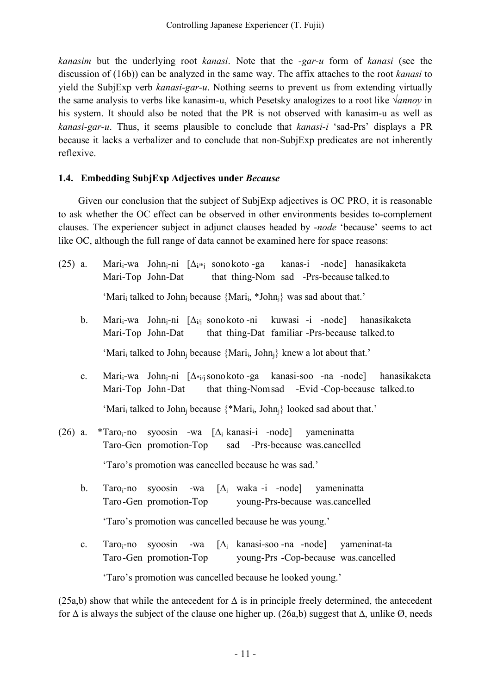*kanasim* but the underlying root *kanasi*. Note that the *-gar-u* form of *kanasi* (see the discussion of (16b)) can be analyzed in the same way. The affix attaches to the root *kanasi* to yield the SubjExp verb *kanasi-gar-u*. Nothing seems to prevent us from extending virtually the same analysis to verbs like kanasim-u, which Pesetsky analogizes to a root like *√annoy* in his system. It should also be noted that the PR is not observed with kanasim-u as well as *kanasi-gar-u*. Thus, it seems plausible to conclude that *kanasi-i* 'sad-Prs' displays a PR because it lacks a verbalizer and to conclude that non-SubjExp predicates are not inherently reflexive.

#### **1.4. Embedding SubjExp Adjectives under** *Because*

Given our conclusion that the subject of SubjExp adjectives is OC PRO, it is reasonable to ask whether the OC effect can be observed in other environments besides to-complement clauses. The experiencer subject in adjunct clauses headed by -*node* 'because' seems to act like OC, although the full range of data cannot be examined here for space reasons:

- (25) a. Mari<sub>i</sub>-wa John<sub>i</sub>-ni  $[\Delta_{i/k}]$  sonokoto -ga kanas-i -node] hanasikaketa Mari-Top John-Dat that thing-Nom sad -Prs-because talked.to 'Mari<sub>i</sub> talked to John<sub>i</sub> because {Mari<sub>i</sub>, \*John<sub>i</sub>} was sad about that.'
	- b. Marii-wa Johnj-ni [∆i/j sonokoto -ni kuwasi -i -node] hanasikaketa Mari-Top John-Dat that thing-Dat familiar -Prs-because talked.to 'Mari<sub>i</sub> talked to John<sub>i</sub> because {Mari<sub>i</sub>, John<sub>i</sub>} knew a lot about that.'
	- c. Marii-wa Johnj-ni [∆\*i/jsonokoto -ga kanasi-soo -na -node] hanasikaketa Mari-Top John-Dat that thing-Nomsad -Evid -Cop-because talked.to 'Mari<sub>i</sub> talked to John<sub>i</sub> because {\*Mari<sub>i</sub>, John<sub>i</sub>} looked sad about that.'
- (26) a. \*Taroi-no syoosin -wa  $[\Delta_i]$  kanasi-i -node yameninatta Taro-Gen promotion-Top sad -Prs-because was.cancelled 'Taro's promotion was cancelled because he was sad.'
	- b. Taroi-no syoosin -wa [∆<sup>i</sup> waka -i -node] yameninatta Taro-Gen promotion-Top young-Prs-because was.cancelled 'Taro's promotion was cancelled because he was young.'
	- c. Taroi-no syoosin -wa  $[\Delta_i]$  kanasi-soo -na -node yameninat-ta Taro-Gen promotion-Top young-Prs -Cop-because was.cancelled 'Taro's promotion was cancelled because he looked young.'

(25a,b) show that while the antecedent for  $\Delta$  is in principle freely determined, the antecedent for  $\Delta$  is always the subject of the clause one higher up. (26a,b) suggest that  $\Delta$ , unlike Ø, needs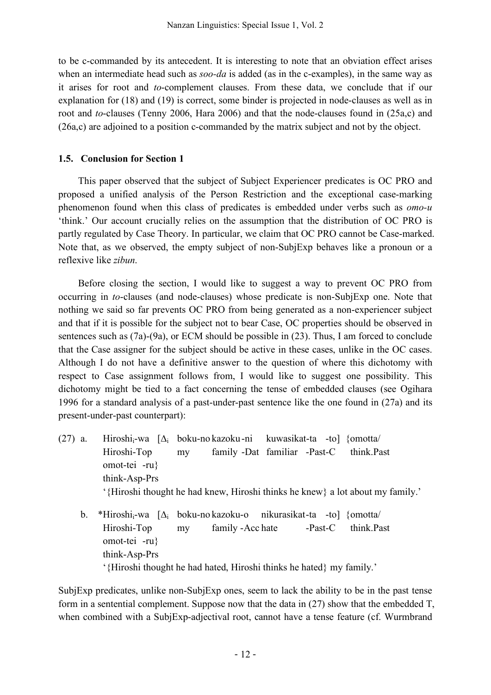to be c-commanded by its antecedent. It is interesting to note that an obviation effect arises when an intermediate head such as *soo-da* is added (as in the c-examples), in the same way as it arises for root and *to*-complement clauses. From these data, we conclude that if our explanation for (18) and (19) is correct, some binder is projected in node-clauses as well as in root and *to*-clauses (Tenny 2006, Hara 2006) and that the node-clauses found in (25a,c) and (26a,c) are adjoined to a position c-commanded by the matrix subject and not by the object.

#### **1.5. Conclusion for Section 1**

This paper observed that the subject of Subject Experiencer predicates is OC PRO and proposed a unified analysis of the Person Restriction and the exceptional case-marking phenomenon found when this class of predicates is embedded under verbs such as *omo-u* 'think.' Our account crucially relies on the assumption that the distribution of OC PRO is partly regulated by Case Theory. In particular, we claim that OC PRO cannot be Case-marked. Note that, as we observed, the empty subject of non-SubjExp behaves like a pronoun or a reflexive like *zibun*.

Before closing the section, I would like to suggest a way to prevent OC PRO from occurring in *to*-clauses (and node-clauses) whose predicate is non-SubjExp one. Note that nothing we said so far prevents OC PRO from being generated as a non-experiencer subject and that if it is possible for the subject not to bear Case, OC properties should be observed in sentences such as (7a)-(9a), or ECM should be possible in (23). Thus, I am forced to conclude that the Case assigner for the subject should be active in these cases, unlike in the OC cases. Although I do not have a definitive answer to the question of where this dichotomy with respect to Case assignment follows from, I would like to suggest one possibility. This dichotomy might be tied to a fact concerning the tense of embedded clauses (see Ogihara 1996 for a standard analysis of a past-under-past sentence like the one found in (27a) and its present-under-past counterpart):

- (27) a. Hiroshi<sub>i</sub>-wa  $[\Delta_i]$  boku-no kazoku-ni kuwasikat-ta -to] {omotta/ Hiroshi-Top my family -Dat familiar -Past-C think.Past omot-tei -ru} think-Asp-Prs '{Hiroshi thought he had knew, Hiroshi thinks he knew} a lot about my family.'
	- b. \*Hiroshi<sub>i</sub>-wa  $[\Delta_i]$  boku-no kazoku-o nikurasikat-ta -to] {omotta/ Hiroshi-Top my family -Acc hate -Past-C think.Past omot-tei -ru} think-Asp-Prs '{Hiroshi thought he had hated, Hiroshi thinks he hated} my family.'

SubjExp predicates, unlike non-SubjExp ones, seem to lack the ability to be in the past tense form in a sentential complement. Suppose now that the data in (27) show that the embedded T, when combined with a SubjExp-adjectival root, cannot have a tense feature (cf. Wurmbrand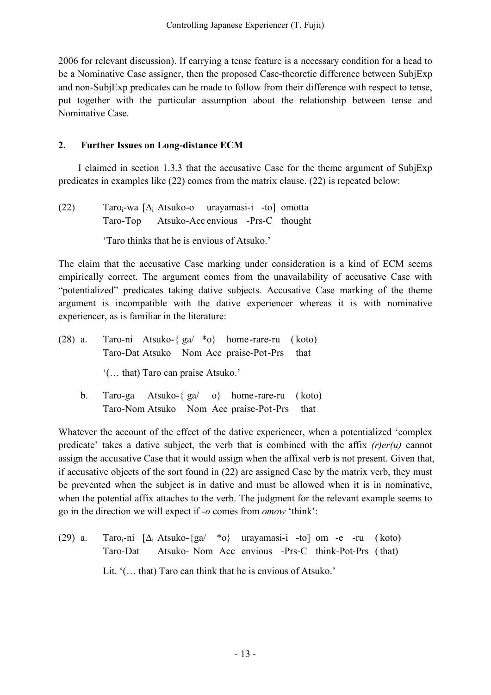2006 for relevant discussion). If carrying a tense feature is a necessary condition for a head to be a Nominative Case assigner, then the proposed Case-theoretic difference between SubjExp and non-SubjExp predicates can be made to follow from their difference with respect to tense, put together with the particular assumption about the relationship between tense and Nominative Case.

### **2. Further Issues on Long-distance ECM**

I claimed in section 1.3.3 that the accusative Case for the theme argument of SubjExp predicates in examples like (22) comes from the matrix clause. (22) is repeated below:

(22) Taro<sub>i</sub>-wa  $[\Delta_i]$  Atsuko-o urayamasi-i -to] omotta Taro-Top Atsuko-Acc envious -Prs-C thought

'Taro thinks that he is envious of Atsuko.'

The claim that the accusative Case marking under consideration is a kind of ECM seems empirically correct. The argument comes from the unavailability of accusative Case with "potentialized" predicates taking dative subjects. Accusative Case marking of the theme argument is incompatible with the dative experiencer whereas it is with nominative experiencer, as is familiar in the literature:

- (28) a. Taro-ni Atsuko-{ ga/ \*o} home-rare-ru ( koto) Taro-Dat Atsuko Nom Acc praise-Pot-Prs that '(… that) Taro can praise Atsuko.'
	- b. Taro-ga Atsuko-{ ga/ o} home-rare-ru ( koto) Taro-Nom Atsuko Nom Acc praise-Pot-Prs that

Whatever the account of the effect of the dative experiencer, when a potentialized 'complex predicate' takes a dative subject, the verb that is combined with the affix *(r)er(u)* cannot assign the accusative Case that it would assign when the affixal verb is not present. Given that, if accusative objects of the sort found in (22) are assigned Case by the matrix verb, they must be prevented when the subject is in dative and must be allowed when it is in nominative, when the potential affix attaches to the verb. The judgment for the relevant example seems to go in the direction we will expect if *-o* comes from *omow* 'think':

(29) a. Taroi-ni  $[\Delta_i$  Atsuko- $\{g\}$  \*o} urayamasi-i -to] om -e -ru (koto) Taro-Dat Atsuko- Nom Acc envious -Prs-C think-Pot-Prs ( that) Lit. '(… that) Taro can think that he is envious of Atsuko.'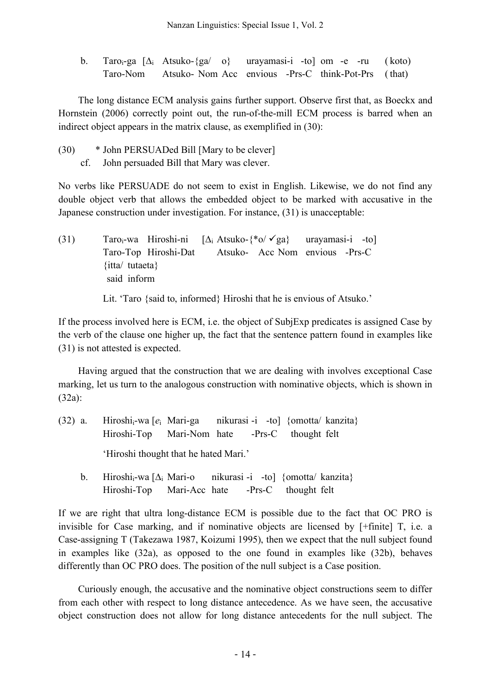b. Taro<sub>i</sub>-ga  $[\Delta_i$  Atsuko-{ga/ o} urayamasi-i -to] om -e -ru (koto) Taro-Nom Atsuko- Nom Acc envious -Prs-C think-Pot-Prs ( that)

The long distance ECM analysis gains further support. Observe first that, as Boeckx and Hornstein (2006) correctly point out, the run-of-the-mill ECM process is barred when an indirect object appears in the matrix clause, as exemplified in (30):

(30) \* John PERSUADed Bill [Mary to be clever] cf. John persuaded Bill that Mary was clever.

No verbs like PERSUADE do not seem to exist in English. Likewise, we do not find any double object verb that allows the embedded object to be marked with accusative in the Japanese construction under investigation. For instance, (31) is unacceptable:

(31) Taro<sub>i</sub>-wa Hiroshi-ni  $[\Delta_i$  Atsuko-{\*o/  $\angle$ ga} urayamasi-i -to] Taro-Top Hiroshi-Dat Atsuko- Acc Nom envious -Prs-C {itta/ tutaeta} said inform

Lit. 'Taro {said to, informed} Hiroshi that he is envious of Atsuko.'

If the process involved here is ECM, i.e. the object of SubjExp predicates is assigned Case by the verb of the clause one higher up, the fact that the sentence pattern found in examples like (31) is not attested is expected.

Having argued that the construction that we are dealing with involves exceptional Case marking, let us turn to the analogous construction with nominative objects, which is shown in (32a):

- (32) a. Hiroshii-wa [*e*<sup>i</sup> Mari-ga nikurasi -i -to] {omotta/ kanzita} Hiroshi-Top Mari-Nom hate -Prs-C thought felt 'Hiroshi thought that he hated Mari.'
	- b. Hiroshi<sub>i</sub>-wa  $[\Delta_i]$  Mari-o nikurasi -i -to] {omotta/ kanzita} Hiroshi-Top Mari-Acc hate -Prs-C thought felt

If we are right that ultra long-distance ECM is possible due to the fact that OC PRO is invisible for Case marking, and if nominative objects are licensed by [+finite] T, i.e. a Case-assigning T (Takezawa 1987, Koizumi 1995), then we expect that the null subject found in examples like (32a), as opposed to the one found in examples like (32b), behaves differently than OC PRO does. The position of the null subject is a Case position.

Curiously enough, the accusative and the nominative object constructions seem to differ from each other with respect to long distance antecedence. As we have seen, the accusative object construction does not allow for long distance antecedents for the null subject. The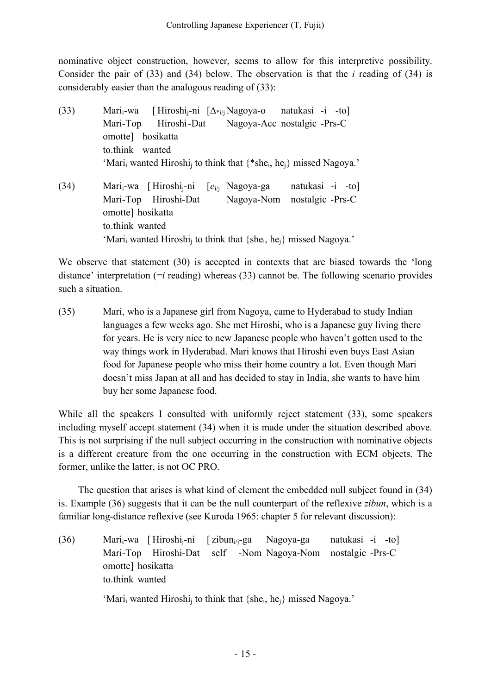nominative object construction, however, seems to allow for this interpretive possibility. Consider the pair of (33) and (34) below. The observation is that the *i* reading of (34) is considerably easier than the analogous reading of (33):

(33) Marii-wa [ Hiroshij-ni [∆\*i/j Nagoya-o natukasi -i -to] Mari-Top Hiroshi-Dat Nagoya-Acc nostalgic -Prs-C omotte] hosikatta to.think wanted 'Mari<sub>i</sub> wanted Hiroshi<sub>i</sub> to think that  $\{$ <sup>\*</sup>she<sub>i</sub>, he<sub>i</sub>} missed Nagoya.' (34) Marii-wa [ Hiroshij-ni [*e*i/j Nagoya-ga natukasi -i -to] Mari-Top Hiroshi-Dat Nagoya-Nom nostalgic -Prs-C omotte] hosikatta to.think wanted 'Mari<sub>i</sub> wanted Hiroshi<sub>i</sub> to think that {she<sub>i</sub>, he<sub>i</sub>} missed Nagoya.'

We observe that statement (30) is accepted in contexts that are biased towards the 'long distance' interpretation (=*i* reading) whereas (33) cannot be. The following scenario provides such a situation.

(35) Mari, who is a Japanese girl from Nagoya, came to Hyderabad to study Indian languages a few weeks ago. She met Hiroshi, who is a Japanese guy living there for years. He is very nice to new Japanese people who haven't gotten used to the way things work in Hyderabad. Mari knows that Hiroshi even buys East Asian food for Japanese people who miss their home country a lot. Even though Mari doesn't miss Japan at all and has decided to stay in India, she wants to have him buy her some Japanese food.

While all the speakers I consulted with uniformly reject statement (33), some speakers including myself accept statement (34) when it is made under the situation described above. This is not surprising if the null subject occurring in the construction with nominative objects is a different creature from the one occurring in the construction with ECM objects. The former, unlike the latter, is not OC PRO.

The question that arises is what kind of element the embedded null subject found in (34) is. Example (36) suggests that it can be the null counterpart of the reflexive *zibun*, which is a familiar long-distance reflexive (see Kuroda 1965: chapter 5 for relevant discussion):

(36) Mari<sub>i</sub>-wa [ Hiroshi<sub>i</sub>-ni [ zibun<sub>i/j</sub>-ga Nagoya-ga natukasi -i -to] Mari-Top Hiroshi-Dat self -Nom Nagoya-Nom nostalgic -Prs-C omotte] hosikatta to.think wanted

'Mari<sub>i</sub> wanted Hiroshi<sub>i</sub> to think that {she<sub>i</sub>, he<sub>i</sub>} missed Nagoya.'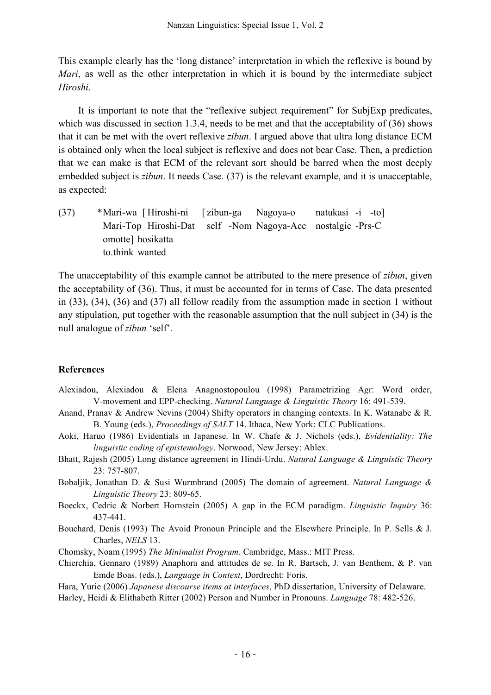This example clearly has the 'long distance' interpretation in which the reflexive is bound by *Mari*, as well as the other interpretation in which it is bound by the intermediate subject *Hiroshi*.

It is important to note that the "reflexive subject requirement" for SubjExp predicates, which was discussed in section 1.3.4, needs to be met and that the acceptability of (36) shows that it can be met with the overt reflexive *zibun*. I argued above that ultra long distance ECM is obtained only when the local subject is reflexive and does not bear Case. Then, a prediction that we can make is that ECM of the relevant sort should be barred when the most deeply embedded subject is *zibun*. It needs Case. (37) is the relevant example, and it is unacceptable, as expected:

(37) \*Mari-wa [ Hiroshi-ni [ zibun-ga Nagoya-o natukasi -i -to] Mari-Top Hiroshi-Dat self -Nom Nagoya-Acc nostalgic -Prs-C omotte] hosikatta to.think wanted

The unacceptability of this example cannot be attributed to the mere presence of *zibun*, given the acceptability of (36). Thus, it must be accounted for in terms of Case. The data presented in (33), (34), (36) and (37) all follow readily from the assumption made in section 1 without any stipulation, put together with the reasonable assumption that the null subject in (34) is the null analogue of *zibun* 'self'.

#### **References**

- Alexiadou, Alexiadou & Elena Anagnostopoulou (1998) Parametrizing Agr: Word order, V-movement and EPP-checking. *Natural Language & Linguistic Theory* 16: 491-539.
- Anand, Pranav & Andrew Nevins (2004) Shifty operators in changing contexts. In K. Watanabe & R. B. Young (eds.), *Proceedings of SALT* 14. Ithaca, New York: CLC Publications.
- Aoki, Haruo (1986) Evidentials in Japanese. In W. Chafe & J. Nichols (eds.), *Evidentiality: The linguistic coding of epistemology*. Norwood, New Jersey: Ablex.
- Bhatt, Rajesh (2005) Long distance agreement in Hindi-Urdu. *Natural Language & Linguistic Theory* 23: 757-807.
- Bobaljik, Jonathan D. & Susi Wurmbrand (2005) The domain of agreement. *Natural Language & Linguistic Theory* 23: 809-65.
- Boeckx, Cedric & Norbert Hornstein (2005) A gap in the ECM paradigm. *Linguistic Inquiry* 36: 437-441.
- Bouchard, Denis (1993) The Avoid Pronoun Principle and the Elsewhere Principle. In P. Sells & J. Charles, *NELS* 13.
- Chomsky, Noam (1995) *The Minimalist Program*. Cambridge, Mass.: MIT Press.
- Chierchia, Gennaro (1989) Anaphora and attitudes de se. In R. Bartsch, J. van Benthem, & P. van Emde Boas. (eds.), *Language in Context*, Dordrecht: Foris.

Hara, Yurie (2006) *Japanese discourse items at interfaces*, PhD dissertation, University of Delaware.

Harley, Heidi & Elithabeth Ritter (2002) Person and Number in Pronouns. *Language* 78: 482-526.